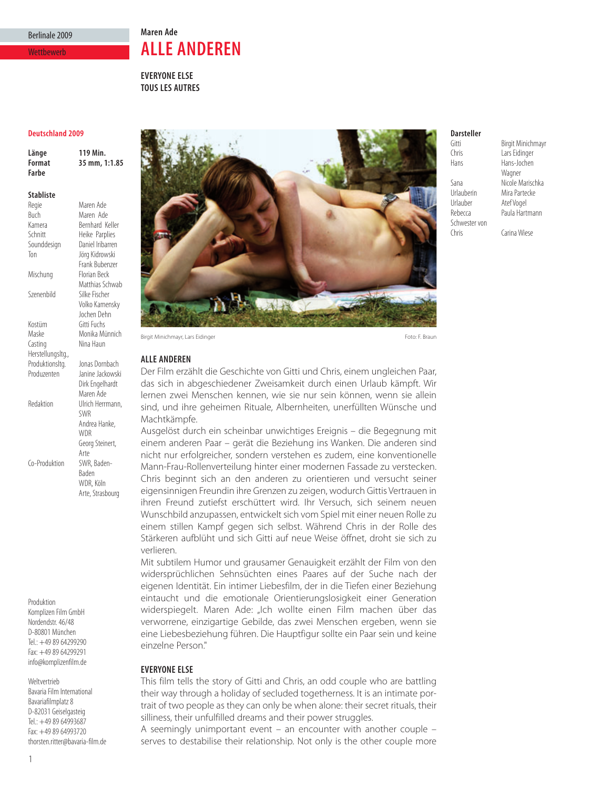# Berlinale 2009

### **Wettbewerb**

**Maren Ade ALLE ANDEREN**

**EVERYONE ELSE TOUS LES AUTRES**

### **Deutschland 2009**

**Länge 119 Min. Format 35 mm, 1:1.85 Farbe**

#### **Stabliste**

Regie Maren Ade<br>Ruch Maren Ade Buch Maren Ade<br>
Kamera Bernhard K Kamera Bernhard Keller<br>Schnitt Heike Parplies Schnitt Heike Parplies<br>
Sounddesign Daniel Iribarrer Daniel Iribarren Ton Jörg Kidrowski Frank Bubenzer Mischung Florian Beck Matthias Schwab Szenenbild Silke Fischer Volko Kamensky Jochen Dehn Kostüm Gitti Fuchs<br>Maske Monika Mi Monika Münnich Casting Nina Haun Herstellungsltg., Produktionsltg. Jonas Dornbach<br>Produzenten Janine Jackowsk Janine Jackowski Dirk Engelhardt Maren Ade Redaktion Ulrich Herrmann, SWR Andrea Hanke, **WDR** Georg Steinert, Arte<br>SWR, Baden-Co-Produktion

> Baden WDR, Köln Arte, Strasbourg

Produktion Komplizen Film GmbH Nordendstr. 46/48 D-80801 München Tel.: +49 89 64299290 Fax: +49 89 64299291 info@komplizenfilm.de

Weltvertrieb Bavaria Film International Bavariafilmplatz 8 D-82031 Geiselgasteig Tel.: +49 89 64993687 Fax: +49 89 64993720 thorsten.ritter@bavaria-film.de



Birgit Minichmayr, Lars Eidinger Foto: F. Braun Foto: F. Braun Foto: F. Braun Foto: F. Braun Foto: F. Braun Foto: F. Braun

## **ALLE ANDEREN**

Der Film erzählt die Geschichte von Gitti und Chris, einem ungleichen Paar, das sich in abgeschiedener Zweisamkeit durch einen Urlaub kämpft. Wir lernen zwei Menschen kennen, wie sie nur sein können, wenn sie allein sind, und ihre geheimen Rituale, Albernheiten, unerfüllten Wünsche und Machtkämpfe.

Ausgelöst durch ein scheinbar unwichtiges Ereignis – die Begegnung mit einem anderen Paar – gerät die Beziehung ins Wanken. Die anderen sind nicht nur erfolgreicher, sondern verstehen es zudem, eine konventionelle Mann-Frau-Rollenverteilung hinter einer modernen Fassade zu verstecken. Chris beginnt sich an den anderen zu orientieren und versucht seiner eigensinnigen Freundin ihre Grenzen zu zeigen, wodurch Gittis Vertrauen in ihren Freund zutiefst erschüttert wird. Ihr Versuch, sich seinem neuen Wunschbild anzupassen, entwickelt sich vom Spiel mit einer neuen Rolle zu einem stillen Kampf gegen sich selbst. Während Chris in der Rolle des Stärkeren aufblüht und sich Gitti auf neue Weise öffnet, droht sie sich zu verlieren.

Mit subtilem Humor und grausamer Genauigkeit erzählt der Film von den widersprüchlichen Sehnsüchten eines Paares auf der Suche nach der eigenen Identität. Ein intimer Liebesfilm, der in die Tiefen einer Beziehung eintaucht und die emotionale Orientierungslosigkeit einer Generation widerspiegelt. Maren Ade: "Ich wollte einen Film machen über das verworrene, einzigartige Gebilde, das zwei Menschen ergeben, wenn sie eine Liebesbeziehung führen. Die Hauptfigur sollte ein Paar sein und keine einzelne Person."

## **EVERYONE ELSE**

This film tells the story of Gitti and Chris, an odd couple who are battling their way through a holiday of secluded togetherness. It is an intimate portrait of two people as they can only be when alone: their secret rituals, their silliness, their unfulfilled dreams and their power struggles.

A seemingly unimportant event – an encounter with another couple – serves to destabilise their relationship. Not only is the other couple more

# **Darsteller**

Hans Hans-Jochen Urlauber Atef Vogel<br>
Rebecca Paula Hart Schwester von<br>Chris

Gitti Birgit Minichmayr<br>Chris Lars Eidinger Lars Eidinger Wagner Sana **Nicole Marischka**<br>IIrlauherin Mira Partecke Urlauberin Mira Partecke<br>Urlauber Atef Vogel Paula Hartmann

Carina Wiese